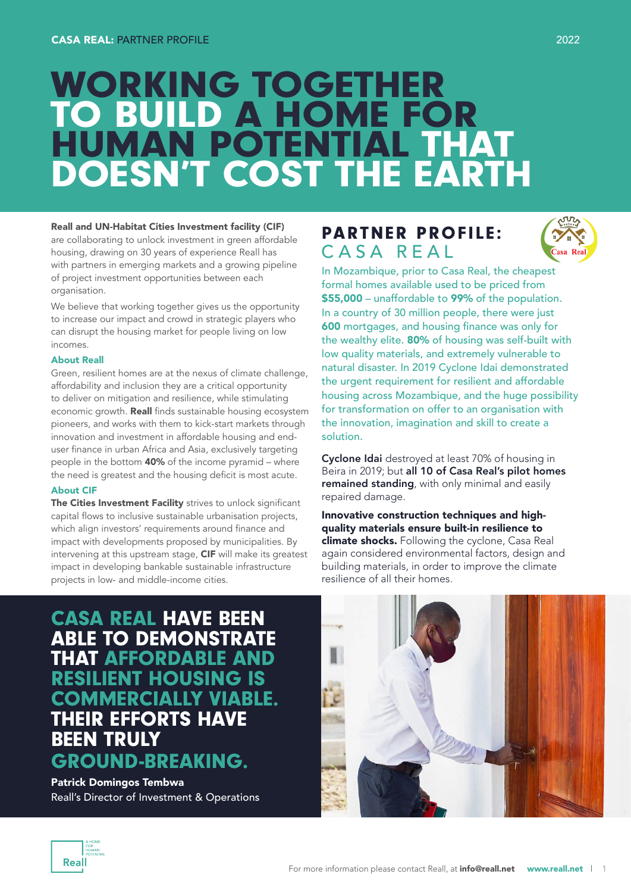# WORKING TOGETHER TO BUILD A HOME FOR<br>HUMAN POTENTIAL THAT HUMAN POTENTIAL THAT DOESN'T COST THE EARTH

### Reall and UN-Habitat Cities Investment facility (CIF)

are collaborating to unlock investment in green affordable housing, drawing on 30 years of experience Reall has with partners in emerging markets and a growing pipeline of project investment opportunities between each organisation.

We believe that working together gives us the opportunity to increase our impact and crowd in strategic players who can disrupt the housing market for people living on low incomes.

### About Reall

Green, resilient homes are at the nexus of climate challenge, affordability and inclusion they are a critical opportunity to deliver on mitigation and resilience, while stimulating economic growth. Reall finds sustainable housing ecosystem pioneers, and works with them to kick-start markets through innovation and investment in affordable housing and enduser finance in urban Africa and Asia, exclusively targeting people in the bottom 40% of the income pyramid – where the need is greatest and the housing deficit is most acute.

### About CIF

The Cities Investment Facility strives to unlock significant capital flows to inclusive sustainable urbanisation projects, which align investors' requirements around finance and impact with developments proposed by municipalities. By intervening at this upstream stage, CIF will make its greatest impact in developing bankable sustainable infrastructure projects in low- and middle-income cities.

# PARTNER PROFILE: CASA REAL In Mozambique, prior to Casa Real, the cheapest



formal homes available used to be priced from \$55,000 – unaffordable to 99% of the population. In a country of 30 million people, there were just 600 mortgages, and housing finance was only for the wealthy elite. 80% of housing was self-built with low quality materials, and extremely vulnerable to natural disaster. In 2019 Cyclone Idai demonstrated the urgent requirement for resilient and affordable housing across Mozambique, and the huge possibility for transformation on offer to an organisation with the innovation, imagination and skill to create a solution.

Cyclone Idai destroyed at least 70% of housing in Beira in 2019; but all 10 of Casa Real's pilot homes remained standing, with only minimal and easily repaired damage.

Innovative construction techniques and highquality materials ensure built-in resilience to climate shocks. Following the cyclone, Casa Real again considered environmental factors, design and building materials, in order to improve the climate resilience of all their homes.

CASA REAL HAVE BEEN ABLE TO DEMONSTRATE THAT AFFORDABLE AND RESILIENT HOUSING IS COMMERCIALLY VIABLE. THEIR EFFORTS HAVE BEEN TRULY GROUND-BREAKING.

Patrick Domingos Tembwa Reall's Director of Investment & Operations